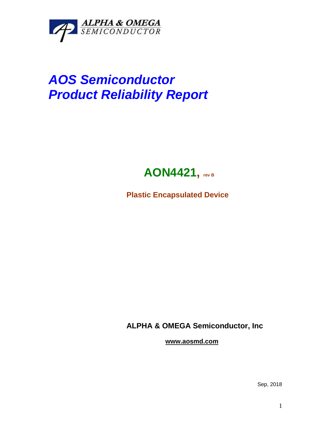

## *AOS Semiconductor Product Reliability Report*



**Plastic Encapsulated Device**

**ALPHA & OMEGA Semiconductor, Inc**

**www.aosmd.com**

Sep, 2018